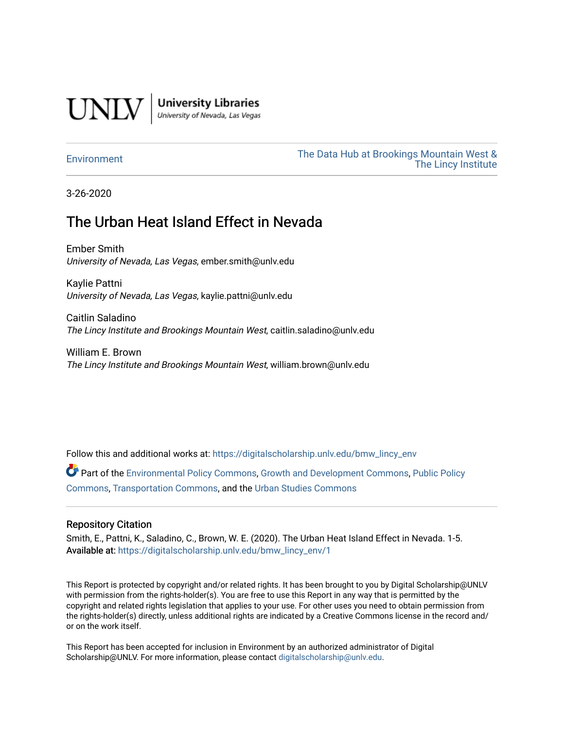

**University Libraries**<br>University of Nevada, Las Vegas

[Environment](https://digitalscholarship.unlv.edu/bmw_lincy_env) [The Data Hub at Brookings Mountain West &](https://digitalscholarship.unlv.edu/bmw_lincy_datahub)  [The Lincy Institute](https://digitalscholarship.unlv.edu/bmw_lincy_datahub) 

3-26-2020

#### The Urban Heat Island Effect in Nevada

Ember Smith University of Nevada, Las Vegas, ember.smith@unlv.edu

Kaylie Pattni University of Nevada, Las Vegas, kaylie.pattni@unlv.edu

Caitlin Saladino The Lincy Institute and Brookings Mountain West, caitlin.saladino@unlv.edu

William E. Brown The Lincy Institute and Brookings Mountain West, william.brown@unlv.edu

Follow this and additional works at: [https://digitalscholarship.unlv.edu/bmw\\_lincy\\_env](https://digitalscholarship.unlv.edu/bmw_lincy_env?utm_source=digitalscholarship.unlv.edu%2Fbmw_lincy_env%2F1&utm_medium=PDF&utm_campaign=PDFCoverPages) 

Part of the [Environmental Policy Commons,](http://network.bepress.com/hgg/discipline/1027?utm_source=digitalscholarship.unlv.edu%2Fbmw_lincy_env%2F1&utm_medium=PDF&utm_campaign=PDFCoverPages) [Growth and Development Commons,](http://network.bepress.com/hgg/discipline/346?utm_source=digitalscholarship.unlv.edu%2Fbmw_lincy_env%2F1&utm_medium=PDF&utm_campaign=PDFCoverPages) [Public Policy](http://network.bepress.com/hgg/discipline/400?utm_source=digitalscholarship.unlv.edu%2Fbmw_lincy_env%2F1&utm_medium=PDF&utm_campaign=PDFCoverPages) [Commons](http://network.bepress.com/hgg/discipline/400?utm_source=digitalscholarship.unlv.edu%2Fbmw_lincy_env%2F1&utm_medium=PDF&utm_campaign=PDFCoverPages), [Transportation Commons,](http://network.bepress.com/hgg/discipline/1068?utm_source=digitalscholarship.unlv.edu%2Fbmw_lincy_env%2F1&utm_medium=PDF&utm_campaign=PDFCoverPages) and the [Urban Studies Commons](http://network.bepress.com/hgg/discipline/402?utm_source=digitalscholarship.unlv.edu%2Fbmw_lincy_env%2F1&utm_medium=PDF&utm_campaign=PDFCoverPages)

#### Repository Citation

Smith, E., Pattni, K., Saladino, C., Brown, W. E. (2020). The Urban Heat Island Effect in Nevada. 1-5. Available at: [https://digitalscholarship.unlv.edu/bmw\\_lincy\\_env/1](https://digitalscholarship.unlv.edu/bmw_lincy_env/1) 

This Report is protected by copyright and/or related rights. It has been brought to you by Digital Scholarship@UNLV with permission from the rights-holder(s). You are free to use this Report in any way that is permitted by the copyright and related rights legislation that applies to your use. For other uses you need to obtain permission from the rights-holder(s) directly, unless additional rights are indicated by a Creative Commons license in the record and/ or on the work itself.

This Report has been accepted for inclusion in Environment by an authorized administrator of Digital Scholarship@UNLV. For more information, please contact [digitalscholarship@unlv.edu.](mailto:digitalscholarship@unlv.edu)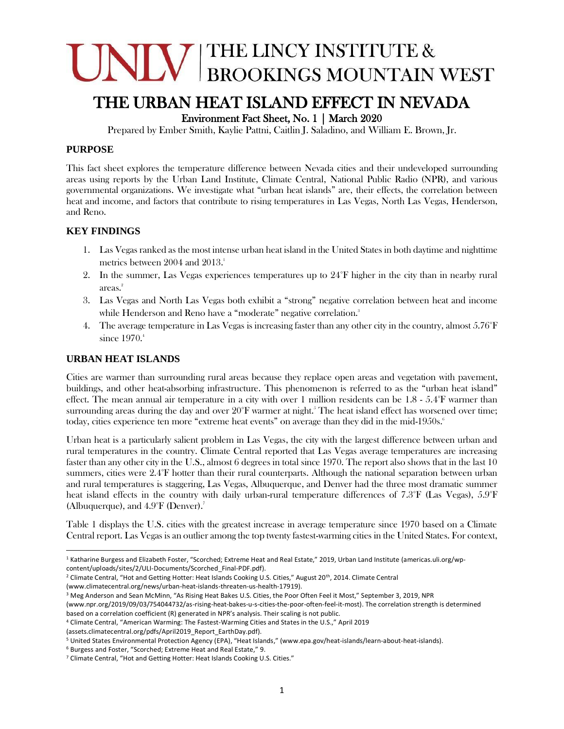# NIN BROOKINGS MOUNTAIN WEST

### THE URBAN HEAT ISLAND EFFECT IN NEVADA

Environment Fact Sheet, No. 1 | March 2020

Prepared by Ember Smith, Kaylie Pattni, Caitlin J. Saladino, and William E. Brown, Jr.

#### **PURPOSE**

This fact sheet explores the temperature difference between Nevada cities and their undeveloped surrounding areas using reports by the Urban Land Institute, Climate Central, National Public Radio (NPR), and various governmental organizations. We investigate what "urban heat islands" are, their effects, the correlation between heat and income, and factors that contribute to rising temperatures in Las Vegas, North Las Vegas, Henderson, and Reno.

#### **KEY FINDINGS**

- 1. Las Vegas ranked as the most intense urban heat island in the United States in both daytime and nighttime metrics between 2004 and 2013. 1
- 2. In the summer, Las Vegas experiences temperatures up to 24°F higher in the city than in nearby rural areas. 2
- 3. Las Vegas and North Las Vegas both exhibit a "strong" negative correlation between heat and income while Henderson and Reno have a "moderate" negative correlation.<sup>3</sup>
- 4. The average temperature in Las Vegas is increasing faster than any other city in the country, almost 5.76°F since 1970.4

#### **URBAN HEAT ISLANDS**

Cities are warmer than surrounding rural areas because they replace open areas and vegetation with pavement, buildings, and other heat-absorbing infrastructure. This phenomenon is referred to as the "urban heat island" effect. The mean annual air temperature in a city with over 1 million residents can be 1.8 - 5.4°F warmer than surrounding areas during the day and over  $20^{\circ}$ F warmer at night.<sup>5</sup> The heat island effect has worsened over time; today, cities experience ten more "extreme heat events" on average than they did in the mid-1950s.

Urban heat is a particularly salient problem in Las Vegas, the city with the largest difference between urban and rural temperatures in the country. Climate Central reported that Las Vegas average temperatures are increasing faster than any other city in the U.S., almost 6 degrees in total since 1970. The report also shows that in the last 10 summers, cities were 2.4°F hotter than their rural counterparts. Although the national separation between urban and rural temperatures is staggering, Las Vegas, Albuquerque, and Denver had the three most dramatic summer heat island effects in the country with daily urban-rural temperature differences of 7.3°F (Las Vegas), 5.9°F (Albuquerque), and 4.9°F (Denver).<sup>7</sup>

Table 1 displays the U.S. cities with the greatest increase in average temperature since 1970 based on a Climate Central report. Las Vegas is an outlier among the top twenty fastest-warming cities in the United States. For context,

<sup>2</sup> Climate Central, "Hot and Getting Hotter: Heat Islands Cooking U.S. Cities," August 20<sup>th</sup>, 2014. Climate Central (www.climatecentral.org/news/urban-heat-islands-threaten-us-health-17919).

<sup>3</sup> Meg Anderson and Sean McMinn, "As Rising Heat Bakes U.S. Cities, the Poor Often Feel it Most," September 3, 2019, NPR

<sup>4</sup> Climate Central, "American Warming: The Fastest-Warming Cities and States in the U.S.," April 2019

(assets.climatecentral.org/pdfs/April2019\_Report\_EarthDay.pdf).

<sup>5</sup> United States Environmental Protection Agency (EPA), "Heat Islands," (www.epa.gov/heat-islands/learn-about-heat-islands).

<sup>6</sup> Burgess and Foster, "Scorched; Extreme Heat and Real Estate," 9.

<sup>&</sup>lt;sup>1</sup> Katharine Burgess and Elizabeth Foster, "Scorched; Extreme Heat and Real Estate," 2019, Urban Land Institute (americas.uli.org/wpcontent/uploads/sites/2/ULI-Documents/Scorched\_Final-PDF.pdf).

<sup>(</sup>www.npr.org/2019/09/03/754044732/as-rising-heat-bakes-u-s-cities-the-poor-often-feel-it-most). The correlation strength is determined based on a correlation coefficient (R) generated in NPR's analysis. Their scaling is not public.

<sup>7</sup> Climate Central, "Hot and Getting Hotter: Heat Islands Cooking U.S. Cities."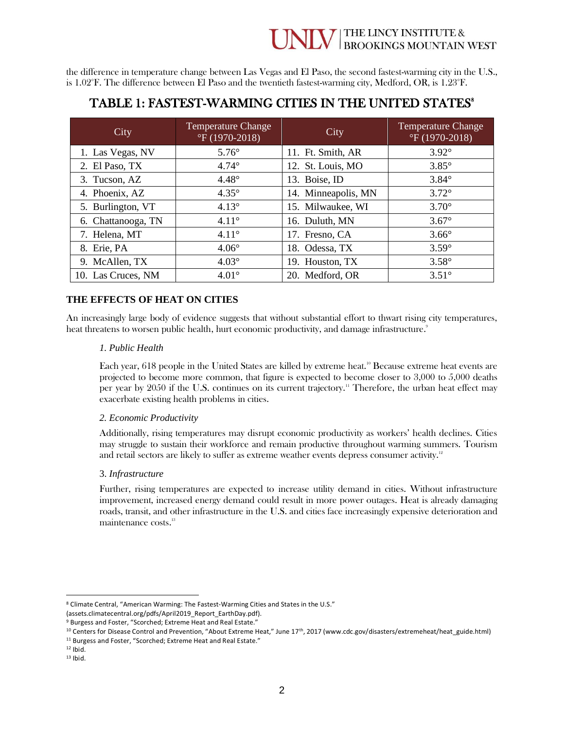## **NIV** THE LINCY INSTITUTE &

the difference in temperature change between Las Vegas and El Paso, the second fastest-warming city in the U.S., is 1.02°F. The difference between El Paso and the twentieth fastest-warming city, Medford, OR, is 1.23°F.

#### TABLE 1: FASTEST-WARMING CITIES IN THE UNITED STATES<sup>8</sup>

| City               | <b>Temperature Change</b><br>$\mathrm{^{\circ}F(1970\text{-}2018)}$ | City                | <b>Temperature Change</b><br>$\mathrm{^{\circ}F(1970\text{-}2018)}$ |
|--------------------|---------------------------------------------------------------------|---------------------|---------------------------------------------------------------------|
| 1. Las Vegas, NV   | $5.76^\circ$                                                        | 11. Ft. Smith, AR   | $3.92^\circ$                                                        |
| 2. El Paso, TX     | $4.74^\circ$                                                        | 12. St. Louis, MO   | $3.85^\circ$                                                        |
| 3. Tucson, AZ      | $4.48^\circ$                                                        | 13. Boise, ID       | $3.84^{\circ}$                                                      |
| 4. Phoenix, AZ     | $4.35^\circ$                                                        | 14. Minneapolis, MN | $3.72^\circ$                                                        |
| 5. Burlington, VT  | $4.13^\circ$                                                        | 15. Milwaukee, WI   | $3.70^\circ$                                                        |
| 6. Chattanooga, TN | $4.11^{\circ}$                                                      | 16. Duluth, MN      | $3.67^\circ$                                                        |
| 7. Helena, MT      | $4.11^{\circ}$                                                      | 17. Fresno, CA      | $3.66^\circ$                                                        |
| 8. Erie, PA        | $4.06^\circ$                                                        | 18. Odessa, TX      | $3.59^\circ$                                                        |
| 9. McAllen, TX     | $4.03^\circ$                                                        | 19. Houston, TX     | $3.58^\circ$                                                        |
| 10. Las Cruces, NM | $4.01^{\circ}$                                                      | 20. Medford, OR     | $3.51^\circ$                                                        |

#### **THE EFFECTS OF HEAT ON CITIES**

An increasingly large body of evidence suggests that without substantial effort to thwart rising city temperatures, heat threatens to worsen public health, hurt economic productivity, and damage infrastructure. 9

#### *1. Public Health*

Each year, 618 people in the United States are killed by extreme heat.<sup>10</sup> Because extreme heat events are projected to become more common, that figure is expected to become closer to 3,000 to 5,000 deaths per year by 2050 if the U.S. continues on its current trajectory.<sup>11</sup> Therefore, the urban heat effect may exacerbate existing health problems in cities.

#### *2. Economic Productivity*

Additionally, rising temperatures may disrupt economic productivity as workers' health declines. Cities may struggle to sustain their workforce and remain productive throughout warming summers. Tourism and retail sectors are likely to suffer as extreme weather events depress consumer activity.<sup>12</sup>

#### 3. *Infrastructure*

Further, rising temperatures are expected to increase utility demand in cities. Without infrastructure improvement, increased energy demand could result in more power outages. Heat is already damaging roads, transit, and other infrastructure in the U.S. and cities face increasingly expensive deterioration and maintenance costs. 13

<sup>8</sup> Climate Central, "American Warming: The Fastest-Warming Cities and States in the U.S."

<sup>(</sup>assets.climatecentral.org/pdfs/April2019\_Report\_EarthDay.pdf).

<sup>9</sup> Burgess and Foster, "Scorched; Extreme Heat and Real Estate."

<sup>10</sup> Centers for Disease Control and Prevention, "About Extreme Heat," June 17th , 2017 (www.cdc.gov/disasters/extremeheat/heat\_guide.html)

<sup>&</sup>lt;sup>11</sup> Burgess and Foster, "Scorched; Extreme Heat and Real Estate."

 $12$  Ibid.

 $13$  Ibid.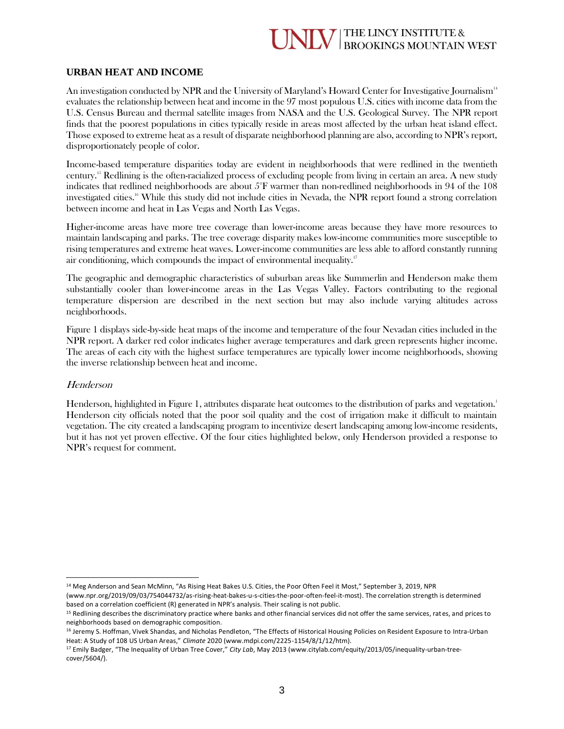#### **II V** THE LINCY INSTITUTE & **BROOKINGS MOUNTAIN WEST**

#### **URBAN HEAT AND INCOME**

An investigation conducted by NPR and the University of Maryland's Howard Center for Investigative Journalism<sup>14</sup> evaluates the relationship between heat and income in the 97 most populous U.S. cities with income data from the U.S. Census Bureau and thermal satellite images from NASA and the U.S. Geological Survey. The NPR report finds that the poorest populations in cities typically reside in areas most affected by the urban heat island effect. Those exposed to extreme heat as a result of disparate neighborhood planning are also, according to NPR's report, disproportionately people of color.

Income-based temperature disparities today are evident in neighborhoods that were redlined in the twentieth century. <sup>15</sup> Redlining is the often-racialized process of excluding people from living in certain an area. A new study indicates that redlined neighborhoods are about 5°F warmer than non-redlined neighborhoods in 94 of the 108 investigated cities.<sup>16</sup> While this study did not include cities in Nevada, the NPR report found a strong correlation between income and heat in Las Vegas and North Las Vegas.

Higher-income areas have more tree coverage than lower-income areas because they have more resources to maintain landscaping and parks. The tree coverage disparity makes low-income communities more susceptible to rising temperatures and extreme heat waves. Lower-income communities are less able to afford constantly running air conditioning, which compounds the impact of environmental inequality.<sup>17</sup>

The geographic and demographic characteristics of suburban areas like Summerlin and Henderson make them substantially cooler than lower-income areas in the Las Vegas Valley. Factors contributing to the regional temperature dispersion are described in the next section but may also include varying altitudes across neighborhoods.

Figure 1 displays side-by-side heat maps of the income and temperature of the four Nevadan cities included in the NPR report. A darker red color indicates higher average temperatures and dark green represents higher income. The areas of each city with the highest surface temperatures are typically lower income neighborhoods, showing the inverse relationship between heat and income.

#### Henderson

Henderson, highlighted in Figure 1, attributes disparate heat outcomes to the distribution of parks and vegetation.<sup>1</sup> Henderson city officials noted that the poor soil quality and the cost of irrigation make it difficult to maintain vegetation. The city created a landscaping program to incentivize desert landscaping among low-income residents, but it has not yet proven effective. Of the four cities highlighted below, only Henderson provided a response to NPR's request for comment.

(www.npr.org/2019/09/03/754044732/as-rising-heat-bakes-u-s-cities-the-poor-often-feel-it-most). The correlation strength is determined based on a correlation coefficient (R) generated in NPR's analysis. Their scaling is not public.

<sup>&</sup>lt;sup>14</sup> Meg Anderson and Sean McMinn, "As Rising Heat Bakes U.S. Cities, the Poor Often Feel it Most," September 3, 2019, NPR

<sup>&</sup>lt;sup>15</sup> Redlining describes the discriminatory practice where banks and other financial services did not offer the same services, rates, and prices to neighborhoods based on demographic composition.

<sup>&</sup>lt;sup>16</sup> Jeremy S. Hoffman, Vivek Shandas, and Nicholas Pendleton, "The Effects of Historical Housing Policies on Resident Exposure to Intra-Urban Heat: A Study of 108 US Urban Areas," *Climate* 2020 (www.mdpi.com/2225-1154/8/1/12/htm).

<sup>17</sup> Emily Badger, "The Inequality of Urban Tree Cover," *City Lab*, May 2013 (www.citylab.com/equity/2013/05/inequality-urban-treecover/5604/).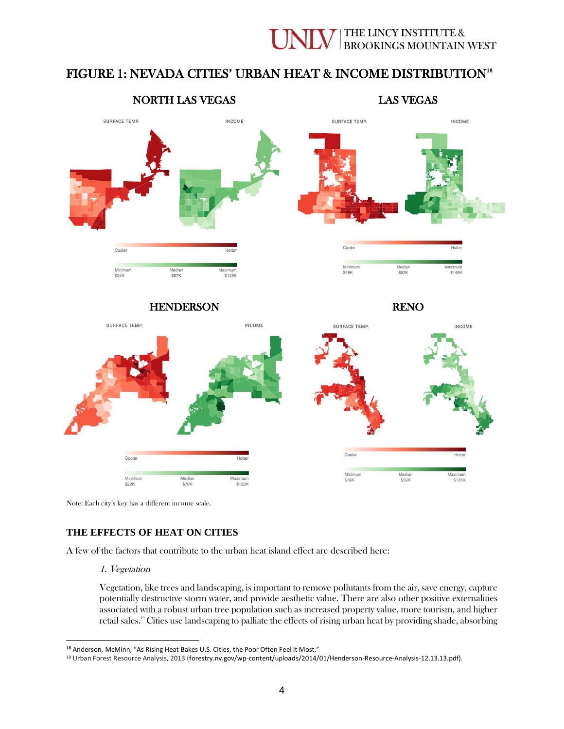#### THE LINCY INSTITUTE & **BROOKINGS MOUNTAIN WEST**

#### FIGURE 1: NEVADA CITIES' URBAN HEAT & INCOME DISTRIBUTION<sup>18</sup>



Note: Each city's key has a different income scale.

#### **THE EFFECTS OF HEAT ON CITIES**

A few of the factors that contribute to the urban heat island effect are described here:

1. Vegetation

Vegetation, like trees and landscaping, is important to remove pollutants from the air, save energy, capture potentially destructive storm water, and provide aesthetic value. There are also other positive externalities associated with a robust urban tree population such as increased property value, more tourism, and higher retail sales.<sup>19</sup> Cities use landscaping to palliate the effects of rising urban heat by providing shade, absorbing

**<sup>18</sup>** Anderson, McMinn, "As Rising Heat Bakes U.S. Cities, the Poor Often Feel it Most."

<sup>19</sup> Urban Forest Resource Analysis, 2013 (forestry.nv.gov/wp-content/uploads/2014/01/Henderson-Resource-Analysis-12.13.13.pdf).